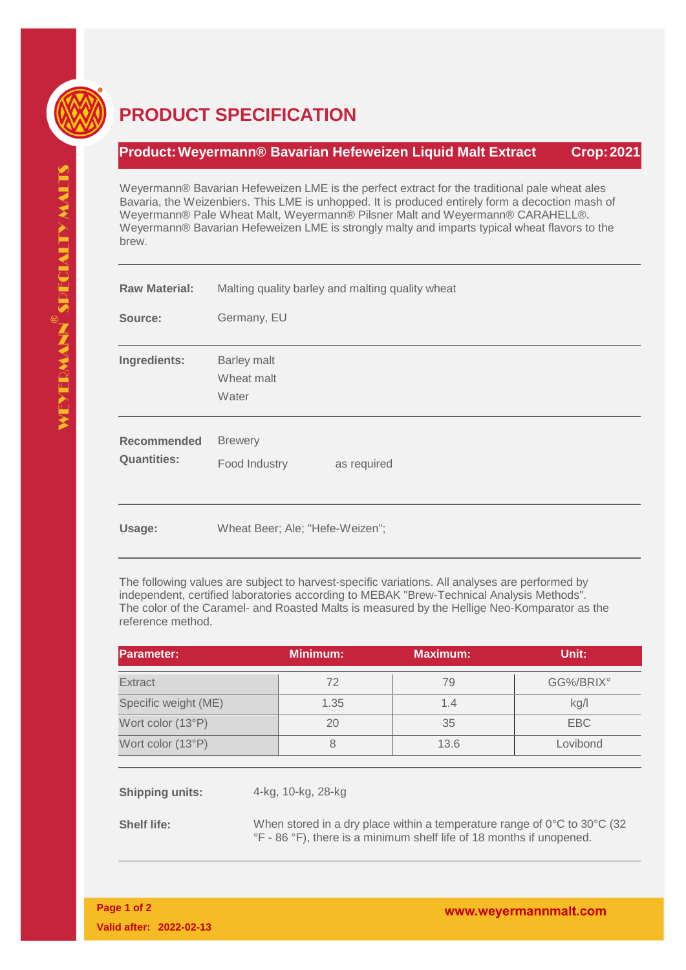

## **PRODUCT SPECIFICATION**

## **Product:Weyermann® Bavarian Hefeweizen Liquid Malt Extract Crop:2021**

Weyermann® Bavarian Hefeweizen LME is the perfect extract for the traditional pale wheat ales Bavaria, the Weizenbiers. This LME is unhopped. It is produced entirely form a decoction mash of Weyermann® Pale Wheat Malt, Weyermann® Pilsner Malt and Weyermann® CARAHELL®. Weyermann® Bavarian Hefeweizen LME is strongly malty and imparts typical wheat flavors to the brew.

| <b>Raw Material:</b>                     | Malting quality barley and malting quality wheat |  |  |
|------------------------------------------|--------------------------------------------------|--|--|
| Source:                                  | Germany, EU                                      |  |  |
| Ingredients:                             | <b>Barley malt</b><br>Wheat malt<br>Water        |  |  |
| <b>Recommended</b><br><b>Quantities:</b> | <b>Brewery</b><br>Food Industry<br>as required   |  |  |
| Usage:                                   | Wheat Beer; Ale; "Hefe-Weizen";                  |  |  |

**Usage:**

The following values are subject to harvest-specific variations. All analyses are performed by independent, certified laboratories according to MEBAK "Brew-Technical Analysis Methods". The color of the Caramel- and Roasted Malts is measured by the Hellige Neo-Komparator as the reference method.

| Parameter:           | <b>Minimum:</b> | <b>Maximum:</b> | Unit:     |
|----------------------|-----------------|-----------------|-----------|
| Extract              | 72              | 79              | GG%/BRIX° |
| Specific weight (ME) | 1.35            | 1.4             | kg/l      |
| Wort color (13°P)    | 20              | 35              | EBC       |
| Wort color (13°P)    | 8               | 13.6            | Lovibond  |

**Shipping units:** 4-kg, 10-kg, 28-kg

**Shelf life:** When stored in a dry place within a temperature range of 0°C to 30°C (32) °F - 86 °F), there is a minimum shelf life of 18 months if unopened.